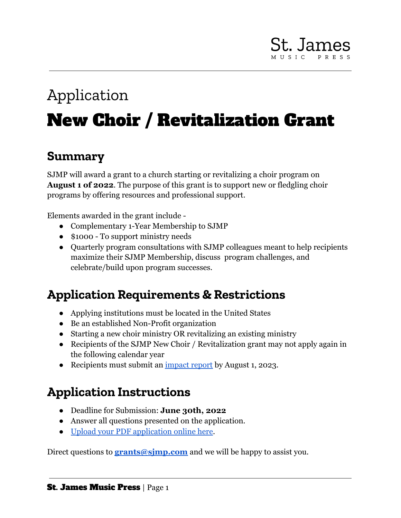# **St. James**

## Application New Choir / Revitalization Grant

#### **Summary**

SJMP will award a grant to a church starting or revitalizing a choir program on **August 1 of 2022**. The purpose of this grant is to support new or fledgling choir programs by offering resources and professional support.

Elements awarded in the grant include -

- Complementary 1-Year Membership to SJMP
- \$1000 To support ministry needs
- Quarterly program consultations with SJMP colleagues meant to help recipients maximize their SJMP Membership, discuss program challenges, and celebrate/build upon program successes.

## **Application Requirements & Restrictions**

- Applying institutions must be located in the United States
- Be an established Non-Profit organization
- Starting a new choir ministry OR revitalizing an existing ministry
- Recipients of the SJMP New Choir / Revitalization grant may not apply again in the following calendar year
- Recipients must submit an <u>[impact report](https://drive.google.com/file/d/1QD5uKFpFuRnATJVr-QOQxWJJGe21vJs8/view?usp=sharing)</u> by August 1, 2023.

## **Application Instructions**

- Deadline for Submission: **June 30th, 2022**
- Answer all questions presented on the application.
- [Upload your PDF application online here](https://forms.monday.com/forms/3b59802fc6e49d8c4e3065e3c4f4bbd2?r=use1).

Direct questions to **grants@simp.com** and we will be happy to assist you.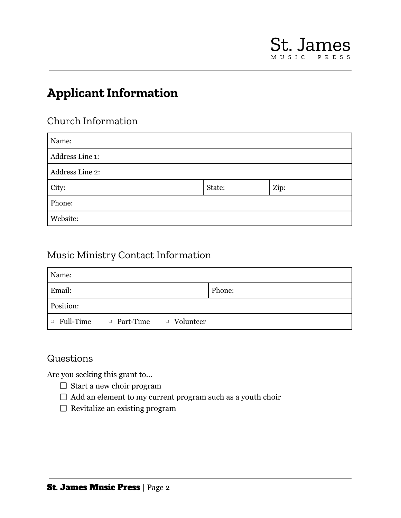## **Applicant Information**

#### Church Information

| Name:           |        |      |  |  |
|-----------------|--------|------|--|--|
| Address Line 1: |        |      |  |  |
| Address Line 2: |        |      |  |  |
| City:           | State: | Zip: |  |  |
| Phone:          |        |      |  |  |
| Website:        |        |      |  |  |

#### Music Ministry Contact Information

| Name:     |                                                    |        |
|-----------|----------------------------------------------------|--------|
| Email:    |                                                    | Phone: |
| Position: |                                                    |        |
|           | $\Box$ Full-Time $\Box$ Part-Time $\Box$ Volunteer |        |

#### Questions

Are you seeking this grant to…

- $\Box$  Start a new choir program
- $\Box$  Add an element to my current program such as a youth choir
- $\Box$  Revitalize an existing program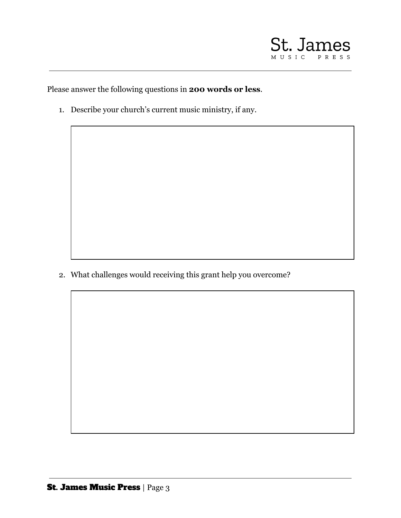

Please answer the following questions in **200 words or less**.

1. Describe your church's current music ministry, if any.

2. What challenges would receiving this grant help you overcome?